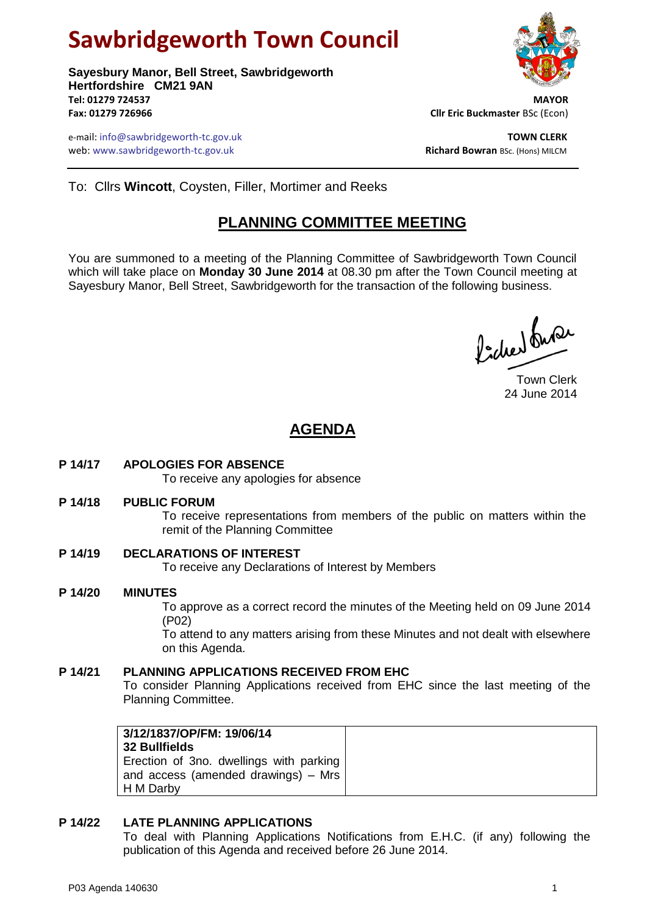# **Sawbridgeworth Town Council**

**Sayesbury Manor, Bell Street, Sawbridgeworth Hertfordshire CM21 9AN Tel: 01279 724537 MAYOR Fax: 01279 726966 Cllr Eric Buckmaster** BSc (Econ)

e-mail: info@sawbridgeworth-tc.gov.uk **TOWN CLERK** web: www.sawbridgeworth-tc.gov.uk<br> **Richard Bowran** BSc. (Hons) MILCM



To: Cllrs **Wincott**, Coysten, Filler, Mortimer and Reeks

# **PLANNING COMMITTEE MEETING**

You are summoned to a meeting of the Planning Committee of Sawbridgeworth Town Council which will take place on **Monday 30 June 2014** at 08.30 pm after the Town Council meeting at Sayesbury Manor, Bell Street, Sawbridgeworth for the transaction of the following business.

Picked fune

Town Clerk 24 June 2014

# **AGENDA**

**P 14/17 APOLOGIES FOR ABSENCE**

To receive any apologies for absence

**P 14/18 PUBLIC FORUM**

To receive representations from members of the public on matters within the remit of the Planning Committee

**P 14/19 DECLARATIONS OF INTEREST**

To receive any Declarations of Interest by Members

**P 14/20 MINUTES** To approve as a correct record the minutes of the Meeting held on 09 June 2014 (P02)

> To attend to any matters arising from these Minutes and not dealt with elsewhere on this Agenda.

## **P 14/21 PLANNING APPLICATIONS RECEIVED FROM EHC**

To consider Planning Applications received from EHC since the last meeting of the Planning Committee.

| 3/12/1837/OP/FM: 19/06/14<br>32 Bullfields |
|--------------------------------------------|
| Erection of 3no. dwellings with parking    |
| and access (amended drawings) – Mrs        |
| H M Darby                                  |

#### **P 14/22 LATE PLANNING APPLICATIONS**

To deal with Planning Applications Notifications from E.H.C. (if any) following the publication of this Agenda and received before 26 June 2014.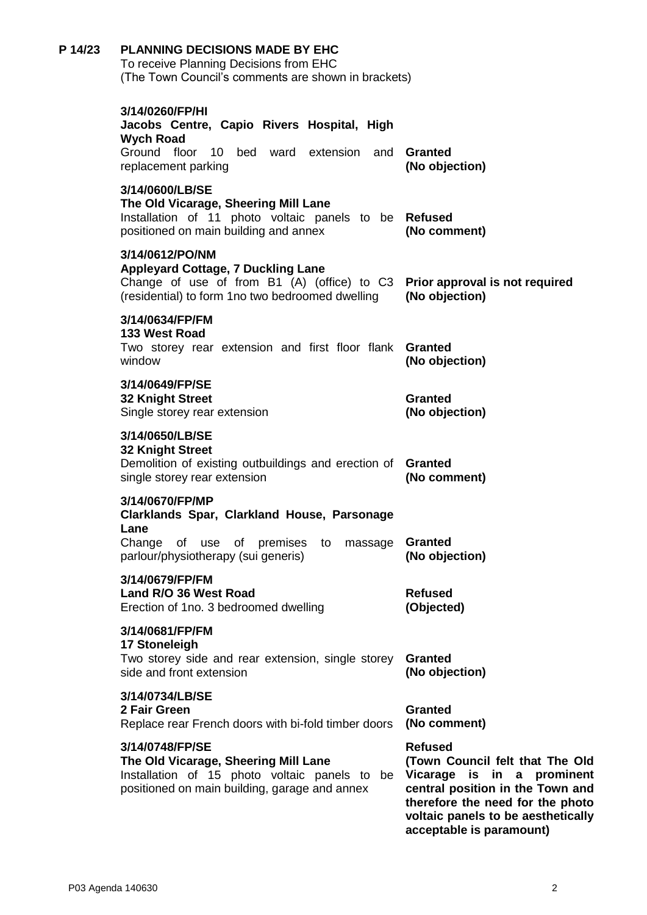| P 14/23 | <b>PLANNING DECISIONS MADE BY EHC</b><br>To receive Planning Decisions from EHC<br>(The Town Council's comments are shown in brackets)                                                         |                                                                                                                                                                                                                           |
|---------|------------------------------------------------------------------------------------------------------------------------------------------------------------------------------------------------|---------------------------------------------------------------------------------------------------------------------------------------------------------------------------------------------------------------------------|
|         | 3/14/0260/FP/HI<br>Jacobs Centre, Capio Rivers Hospital, High<br><b>Wych Road</b><br>Ground floor<br>10 bed ward extension and <b>Granted</b>                                                  |                                                                                                                                                                                                                           |
|         | replacement parking                                                                                                                                                                            | (No objection)                                                                                                                                                                                                            |
|         | 3/14/0600/LB/SE<br>The Old Vicarage, Sheering Mill Lane<br>Installation of 11 photo voltaic panels to be Refused<br>positioned on main building and annex                                      | (No comment)                                                                                                                                                                                                              |
|         | 3/14/0612/PO/NM<br><b>Appleyard Cottage, 7 Duckling Lane</b><br>Change of use of from B1 (A) (office) to C3 Prior approval is not required<br>(residential) to form 1no two bedroomed dwelling | (No objection)                                                                                                                                                                                                            |
|         | 3/14/0634/FP/FM<br>133 West Road<br>Two storey rear extension and first floor flank                                                                                                            | <b>Granted</b>                                                                                                                                                                                                            |
|         | window<br>3/14/0649/FP/SE<br><b>32 Knight Street</b><br>Single storey rear extension                                                                                                           | (No objection)<br><b>Granted</b><br>(No objection)                                                                                                                                                                        |
|         | 3/14/0650/LB/SE<br><b>32 Knight Street</b><br>Demolition of existing outbuildings and erection of<br>single storey rear extension                                                              | <b>Granted</b><br>(No comment)                                                                                                                                                                                            |
|         | 3/14/0670/FP/MP<br>Clarklands Spar, Clarkland House, Parsonage<br>Lane<br>massage<br>Change<br>of use of premises<br>to<br>parlour/physiotherapy (sui generis)                                 | Granted<br>(No objection)                                                                                                                                                                                                 |
|         | 3/14/0679/FP/FM<br>Land R/O 36 West Road<br>Erection of 1no. 3 bedroomed dwelling                                                                                                              | <b>Refused</b><br>(Objected)                                                                                                                                                                                              |
|         | 3/14/0681/FP/FM<br>17 Stoneleigh<br>Two storey side and rear extension, single storey<br>side and front extension                                                                              | <b>Granted</b><br>(No objection)                                                                                                                                                                                          |
|         | 3/14/0734/LB/SE<br>2 Fair Green<br>Replace rear French doors with bi-fold timber doors                                                                                                         | <b>Granted</b><br>(No comment)                                                                                                                                                                                            |
|         | 3/14/0748/FP/SE<br>The Old Vicarage, Sheering Mill Lane<br>Installation of 15 photo voltaic panels to be<br>positioned on main building, garage and annex                                      | <b>Refused</b><br>(Town Council felt that The Old<br>Vicarage is in a prominent<br>central position in the Town and<br>therefore the need for the photo<br>voltaic panels to be aesthetically<br>acceptable is paramount) |